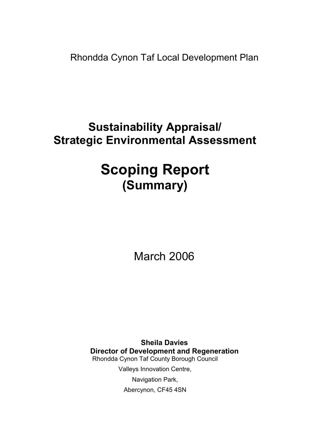Rhondda Cynon Taf Local Development Plan

# Sustainability Appraisal/ Strategic Environmental Assessment

# Scoping Report (Summary)

March 2006

Sheila Davies Director of Development and Regeneration Rhondda Cynon Taf County Borough Council Valleys Innovation Centre, Navigation Park, Abercynon, CF45 4SN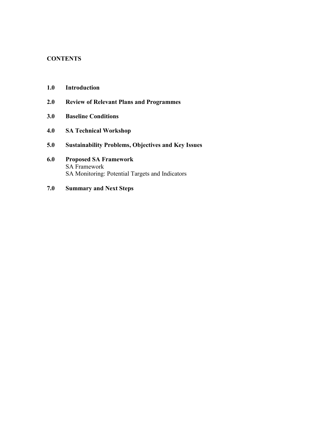# **CONTENTS**

- 1.0 Introduction
- 2.0 Review of Relevant Plans and Programmes
- 3.0 Baseline Conditions
- 4.0 SA Technical Workshop
- 5.0 Sustainability Problems, Objectives and Key Issues
- 6.0 Proposed SA Framework SA Framework SA Monitoring: Potential Targets and Indicators
- 7.0 Summary and Next Steps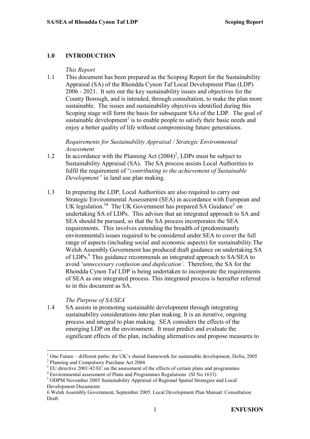#### 1.0 INTRODUCTION

#### This Report

1.1 This document has been prepared as the Scoping Report for the Sustainability Appraisal (SA) of the Rhondda Cynon Taf Local Development Plan (LDP) 2006 - 2021. It sets out the key sustainability issues and objectives for the County Borough, and is intended, through consultation, to make the plan more sustainable. The issues and sustainability objectives identified during this Scoping stage will form the basis for subsequent SAs of the LDP. The goal of sustainable development<sup>1</sup> is to enable people to satisfy their basic needs and enjoy a better quality of life without compromising future generations.

Requirements for Sustainability Appraisal / Strategic Environmental Assessment

- 1.2 In accordance with the Planning Act  $(2004)^2$ , LDPs must be subject to Sustainability Appraisal (SA). The SA process assists Local Authorities to fulfil the requirement of "contributing to the achievement of Sustainable Development" in land use plan making.
- 1.3 In preparing the LDP, Local Authorities are also required to carry out Strategic Environmental Assessment (SEA) in accordance with European and UK legislation.<sup>34</sup> The UK Government has prepared SA Guidance<sup>5</sup> on undertaking SA of LDPs. This advises that an integrated approach to SA and SEA should be pursued, so that the SA process incorporates the SEA requirements. This involves extending the breadth of (predominantly environmental) issues required to be considered under SEA to cover the full range of aspects (including social and economic aspects) for sustainability.The Welsh Assembly Government has produced draft guidance on undertaking SA of LDPs.<sup>6</sup> This guidance recommends an integrated approach to SA/SEA to avoid 'unnecessary confusion and duplication'. Therefore, the SA for the Rhondda Cynon Taf LDP is being undertaken to incorporate the requirements of SEA as one integrated process. This integrated process is hereafter referred to in this document as SA.

#### The Purpose of SA/SEA

1.4 SA assists in promoting sustainable development through integrating sustainability considerations into plan making. It is an iterative, ongoing process and integral to plan making. SEA considers the effects of the emerging LDP on the environment. It must predict and evaluate the significant effects of the plan, including alternatives and propose measures to

 $\overline{a}$ 1 One Future – different paths: the UK's shared framework for sustainable development, Defra, 2005 <sup>2</sup> Planning and Compulsory Purchase Act 2004

 $3$  EU directive 2001/42/EC on the assessment of the effects of certain plans and programmes

 $4$  Environmental assessment of Plans and Programmes Regulations (SI No 1633)

<sup>&</sup>lt;sup>5</sup> ODPM November 2005 Sustainability Appraisal of Regional Spatial Strategies and Local Development Documents

<sup>6</sup> Welsh Assembly Government, September 2005. Local Development Plan Manual: Consultation Draft.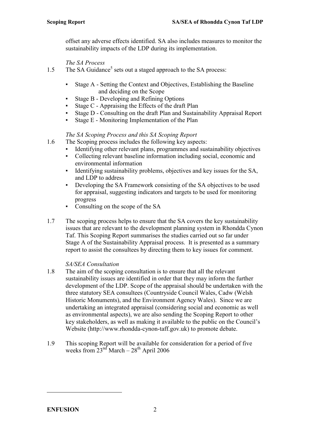offset any adverse effects identified. SA also includes measures to monitor the sustainability impacts of the LDP during its implementation.

The SA Process

- 1.5 The SA Guidance<sup>5</sup> sets out a staged approach to the SA process:
	- Stage A Setting the Context and Objectives, Establishing the Baseline and deciding on the Scope
	- Stage B Developing and Refining Options
	- Stage  $C$  Appraising the Effects of the draft Plan
	- Stage D Consulting on the draft Plan and Sustainability Appraisal Report
	- Stage E Monitoring Implementation of the Plan

#### The SA Scoping Process and this SA Scoping Report

- 1.6 The Scoping process includes the following key aspects:
	- Identifying other relevant plans, programmes and sustainability objectives
	- Collecting relevant baseline information including social, economic and environmental information
	- Identifying sustainability problems, objectives and key issues for the SA, and LDP to address
	- Developing the SA Framework consisting of the SA objectives to be used for appraisal, suggesting indicators and targets to be used for monitoring progress
	- Consulting on the scope of the SA
- 1.7 The scoping process helps to ensure that the SA covers the key sustainability issues that are relevant to the development planning system in Rhondda Cynon Taf. This Scoping Report summarises the studies carried out so far under Stage A of the Sustainability Appraisal process. It is presented as a summary report to assist the consultees by directing them to key issues for comment.

#### SA/SEA Consultation

- 1.8 The aim of the scoping consultation is to ensure that all the relevant sustainability issues are identified in order that they may inform the further development of the LDP. Scope of the appraisal should be undertaken with the three statutory SEA consultees (Countryside Council Wales, Cadw (Welsh Historic Monuments), and the Environment Agency Wales). Since we are undertaking an integrated appraisal (considering social and economic as well as environmental aspects), we are also sending the Scoping Report to other key stakeholders, as well as making it available to the public on the Council's Website (http://www.rhondda-cynon-taff.gov.uk) to promote debate.
- 1.9 This scoping Report will be available for consideration for a period of five weeks from  $23<sup>nd</sup> March - 28<sup>th</sup> April 2006$

 $\overline{a}$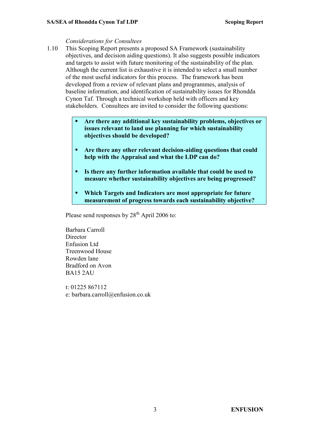#### Considerations for Consultees

- 1.10 This Scoping Report presents a proposed SA Framework (sustainability objectives, and decision aiding questions). It also suggests possible indicators and targets to assist with future monitoring of the sustainability of the plan. Although the current list is exhaustive it is intended to select a small number of the most useful indicators for this process. The framework has been developed from a review of relevant plans and programmes, analysis of baseline information, and identification of sustainability issues for Rhondda Cynon Taf. Through a technical workshop held with officers and key stakeholders. Consultees are invited to consider the following questions:
	- Are there any additional key sustainability problems, objectives or issues relevant to land use planning for which sustainability objectives should be developed?
	- **Are there any other relevant decision-aiding questions that could** help with the Appraisal and what the LDP can do?
	- Is there any further information available that could be used to measure whether sustainability objectives are being progressed?
	- Which Targets and Indicators are most appropriate for future measurement of progress towards each sustainability objective?

Please send responses by 28<sup>th</sup> April 2006 to:

Barbara Carroll **Director** Enfusion Ltd Treenwood House Rowden lane Bradford on Avon BA15 2AU

t: 01225 867112 e: barbara.carroll@enfusion.co.uk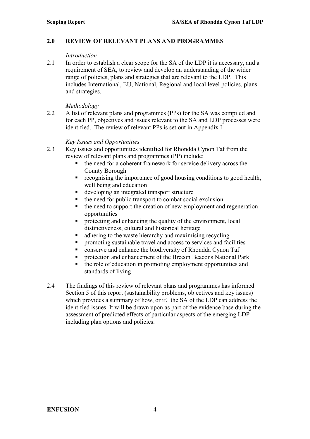#### 2.0 REVIEW OF RELEVANT PLANS AND PROGRAMMES

#### **Introduction**

2.1 In order to establish a clear scope for the SA of the LDP it is necessary, and a requirement of SEA, to review and develop an understanding of the wider range of policies, plans and strategies that are relevant to the LDP. This includes International, EU, National, Regional and local level policies, plans and strategies.

#### Methodology

2.2 A list of relevant plans and programmes (PPs) for the SA was compiled and for each PP, objectives and issues relevant to the SA and LDP processes were identified. The review of relevant PPs is set out in Appendix I

#### Key Issues and Opportunities

- 2.3 Key issues and opportunities identified for Rhondda Cynon Taf from the review of relevant plans and programmes (PP) include:
	- the need for a coherent framework for service delivery across the County Borough
	- recognising the importance of good housing conditions to good health, well being and education
	- developing an integrated transport structure
	- the need for public transport to combat social exclusion
	- the need to support the creation of new employment and regeneration opportunities
	- protecting and enhancing the quality of the environment, local distinctiveness, cultural and historical heritage
	- details adhering to the waste hierarchy and maximising recycling
	- promoting sustainable travel and access to services and facilities
	- conserve and enhance the biodiversity of Rhondda Cynon Taf
	- protection and enhancement of the Brecon Beacons National Park
	- $\blacksquare$  the role of education in promoting employment opportunities and standards of living
- 2.4 The findings of this review of relevant plans and programmes has informed Section 5 of this report (sustainability problems, objectives and key issues) which provides a summary of how, or if, the SA of the LDP can address the identified issues. It will be drawn upon as part of the evidence base during the assessment of predicted effects of particular aspects of the emerging LDP including plan options and policies.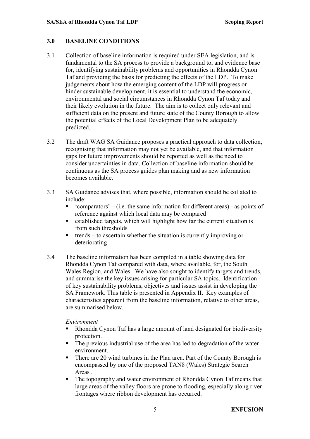#### 3.0 BASELINE CONDITIONS

- 3.1 Collection of baseline information is required under SEA legislation, and is fundamental to the SA process to provide a background to, and evidence base for, identifying sustainability problems and opportunities in Rhondda Cynon Taf and providing the basis for predicting the effects of the LDP. To make judgements about how the emerging content of the LDP will progress or hinder sustainable development, it is essential to understand the economic, environmental and social circumstances in Rhondda Cynon Taf today and their likely evolution in the future. The aim is to collect only relevant and sufficient data on the present and future state of the County Borough to allow the potential effects of the Local Development Plan to be adequately predicted.
- 3.2 The draft WAG SA Guidance proposes a practical approach to data collection, recognising that information may not yet be available, and that information gaps for future improvements should be reported as well as the need to consider uncertainties in data. Collection of baseline information should be continuous as the SA process guides plan making and as new information becomes available.
- 3.3 SA Guidance advises that, where possible, information should be collated to include:
	- $\blacksquare$  'comparators' (i.e. the same information for different areas) as points of reference against which local data may be compared
	- established targets, which will highlight how far the current situation is from such thresholds
	- $\blacksquare$  trends to ascertain whether the situation is currently improving or deteriorating
- 3.4 The baseline information has been compiled in a table showing data for Rhondda Cynon Taf compared with data, where available, for, the South Wales Region, and Wales. We have also sought to identify targets and trends, and summarise the key issues arising for particular SA topics. Identification of key sustainability problems, objectives and issues assist in developing the SA Framework. This table is presented in Appendix II. Key examples of characteristics apparent from the baseline information, relative to other areas, are summarised below.

#### Environment

- Rhondda Cynon Taf has a large amount of land designated for biodiversity protection.
- The previous industrial use of the area has led to degradation of the water environment.
- There are 20 wind turbines in the Plan area. Part of the County Borough is encompassed by one of the proposed TAN8 (Wales) Strategic Search Areas .
- The topography and water environment of Rhondda Cynon Taf means that large areas of the valley floors are prone to flooding, especially along river frontages where ribbon development has occurred.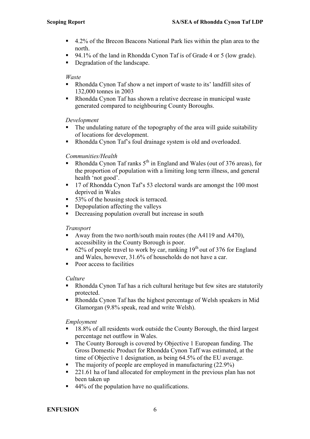- 4.2% of the Brecon Beacons National Park lies within the plan area to the north.
- 94.1% of the land in Rhondda Cynon Taf is of Grade 4 or 5 (low grade).
- Degradation of the landscape.

#### Waste

- Rhondda Cynon Taf show a net import of waste to its' landfill sites of 132,000 tonnes in 2003
- Rhondda Cynon Taf has shown a relative decrease in municipal waste generated compared to neighbouring County Boroughs.

#### Development

- The undulating nature of the topography of the area will guide suitability of locations for development.
- Rhondda Cynon Taf's foul drainage system is old and overloaded.

#### Communities/Health

- Rhondda Cynon Taf ranks  $5<sup>th</sup>$  in England and Wales (out of 376 areas), for the proportion of population with a limiting long term illness, and general health 'not good'.
- <sup>17</sup> of Rhondda Cynon Taf's 53 electoral wards are amongst the 100 most deprived in Wales
- 53% of the housing stock is terraced.
- Depopulation affecting the valleys
- Decreasing population overall but increase in south

#### Transport

- Away from the two north/south main routes (the A4119 and A470). accessibility in the County Borough is poor.
- 62% of people travel to work by car, ranking  $19<sup>th</sup>$  out of 376 for England and Wales, however, 31.6% of households do not have a car.
- Poor access to facilities

#### Culture

- Rhondda Cynon Taf has a rich cultural heritage but few sites are statutorily protected.
- Rhondda Cynon Taf has the highest percentage of Welsh speakers in Mid Glamorgan (9.8% speak, read and write Welsh).

#### Employment

- <sup>18.8%</sup> of all residents work outside the County Borough, the third largest percentage net outflow in Wales.
- The County Borough is covered by Objective 1 European funding. The Gross Domestic Product for Rhondda Cynon Taff was estimated, at the time of Objective 1 designation, as being 64.5% of the EU average.
- $\blacksquare$  The majority of people are employed in manufacturing (22.9%)
- 221.61 ha of land allocated for employment in the previous plan has not been taken up
- $\blacksquare$  44% of the population have no qualifications.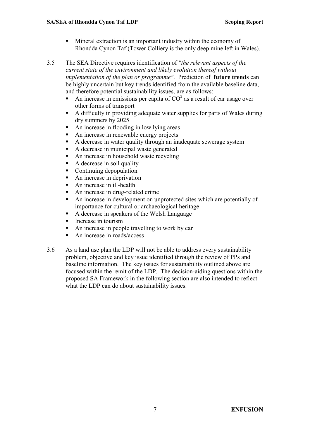- Mineral extraction is an important industry within the economy of Rhondda Cynon Taf (Tower Colliery is the only deep mine left in Wales).
- 3.5 The SEA Directive requires identification of "the relevant aspects of the current state of the environment and likely evolution thereof without implementation of the plan or programme". Prediction of **future trends** can be highly uncertain but key trends identified from the available baseline data, and therefore potential sustainability issues, are as follows:
	- An increase in emissions per capita of  $CO<sup>2</sup>$  as a result of car usage over other forms of transport
	- A difficulty in providing adequate water supplies for parts of Wales during dry summers by 2025
	- An increase in flooding in low lying areas
	- An increase in renewable energy projects
	- A decrease in water quality through an inadequate sewerage system
	- A decrease in municipal waste generated
	- An increase in household waste recycling
	- $\blacksquare$  A decrease in soil quality
	- Continuing depopulation
	- An increase in deprivation
	- An increase in ill-health
	- An increase in drug-related crime
	- An increase in development on unprotected sites which are potentially of importance for cultural or archaeological heritage
	- A decrease in speakers of the Welsh Language
	- **Increase in tourism**
	- An increase in people travelling to work by car
	- An increase in roads/access
- 3.6 As a land use plan the LDP will not be able to address every sustainability problem, objective and key issue identified through the review of PPs and baseline information. The key issues for sustainability outlined above are focused within the remit of the LDP. The decision-aiding questions within the proposed SA Framework in the following section are also intended to reflect what the LDP can do about sustainability issues.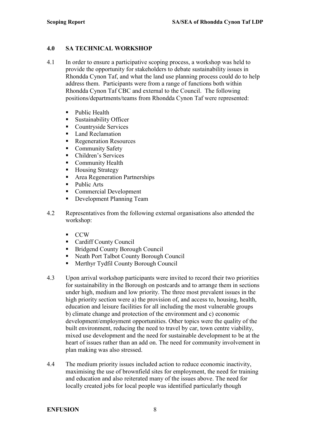#### 4.0 SA TECHNICAL WORKSHOP

- 4.1 In order to ensure a participative scoping process, a workshop was held to provide the opportunity for stakeholders to debate sustainability issues in Rhondda Cynon Taf, and what the land use planning process could do to help address them. Participants were from a range of functions both within Rhondda Cynon Taf CBC and external to the Council. The following positions/departments/teams from Rhondda Cynon Taf were represented:
	- Public Health
	- Sustainability Officer
	- Countryside Services
	- **Land Reclamation**
	- Regeneration Resources
	- Community Safety
	- Children's Services
	- **Community Health**
	- Housing Strategy
	- **Area Regeneration Partnerships**
	- Public Arts
	- Commercial Development
	- Development Planning Team
- 4.2 Representatives from the following external organisations also attended the workshop:
	- CCW
	- Cardiff County Council
	- Bridgend County Borough Council
	- Neath Port Talbot County Borough Council
	- **Merthyr Tydfil County Borough Council**
- 4.3 Upon arrival workshop participants were invited to record their two priorities for sustainability in the Borough on postcards and to arrange them in sections under high, medium and low priority. The three most prevalent issues in the high priority section were a) the provision of, and access to, housing, health, education and leisure facilities for all including the most vulnerable groups b) climate change and protection of the environment and c) economic development/employment opportunities. Other topics were the quality of the built environment, reducing the need to travel by car, town centre viability, mixed use development and the need for sustainable development to be at the heart of issues rather than an add on. The need for community involvement in plan making was also stressed.
- 4.4 The medium priority issues included action to reduce economic inactivity, maximising the use of brownfield sites for employment, the need for training and education and also reiterated many of the issues above. The need for locally created jobs for local people was identified particularly though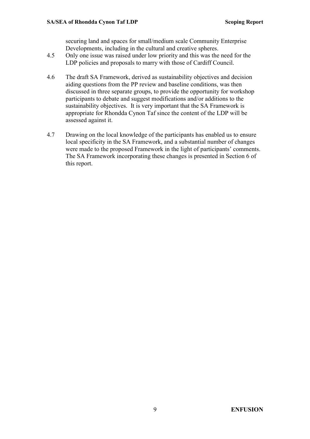securing land and spaces for small/medium scale Community Enterprise Developments, including in the cultural and creative spheres.

- 4.5 Only one issue was raised under low priority and this was the need for the LDP policies and proposals to marry with those of Cardiff Council.
- 4.6 The draft SA Framework, derived as sustainability objectives and decision aiding questions from the PP review and baseline conditions, was then discussed in three separate groups, to provide the opportunity for workshop participants to debate and suggest modifications and/or additions to the sustainability objectives. It is very important that the SA Framework is appropriate for Rhondda Cynon Taf since the content of the LDP will be assessed against it.
- 4.7 Drawing on the local knowledge of the participants has enabled us to ensure local specificity in the SA Framework, and a substantial number of changes were made to the proposed Framework in the light of participants' comments. The SA Framework incorporating these changes is presented in Section 6 of this report.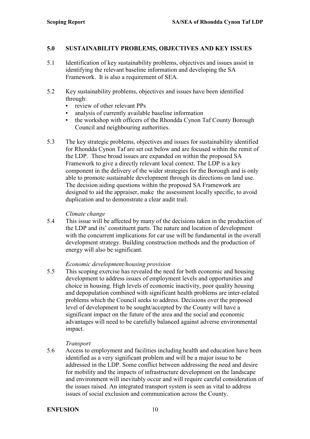#### 5.0 SUSTAINABILITY PROBLEMS, OBJECTIVES AND KEY ISSUES

- 5.1 Identification of key sustainability problems, objectives and issues assist in identifying the relevant baseline information and developing the SA Framework. It is also a requirement of SEA.
- 5.2 Key sustainability problems, objectives and issues have been identified through:
	- review of other relevant PPs
	- analysis of currently available baseline information
	- the workshop with officers of the Rhondda Cynon Taf County Borough Council and neighbouring authorities.
- 5.3 The key strategic problems, objectives and issues for sustainability identified for Rhondda Cynon Taf are set out below and are focused within the remit of the LDP. These broad issues are expanded on within the proposed SA Framework to give a directly relevant local context. The LDP is a key component in the delivery of the wider strategies for the Borough and is only able to promote sustainable development through its directions on land use. The decision aiding questions within the proposed SA Framework are designed to aid the appraiser, make the assessment locally specific, to avoid duplication and to demonstrate a clear audit trail.

#### Climate change

5.4 This issue will be affected by many of the decisions taken in the production of the LDP and its' constituent parts. The nature and location of development with the concurrent implications for car use will be fundamental in the overall development strategy. Building construction methods and the production of energy will also be significant.

#### Economic development/housing provision

5.5 This scoping exercise has revealed the need for both economic and housing development to address issues of employment levels and opportunities and choice in housing. High levels of economic inactivity, poor quality housing and depopulation combined with significant health problems are inter-related problems which the Council seeks to address. Decisions over the proposed level of development to be sought/accepted by the County will have a significant impact on the future of the area and the social and economic advantages will need to be carefully balanced against adverse environmental impact.

#### Transport

5.6 Access to employment and facilities including health and education have been identified as a very significant problem and will be a major issue to be addressed in the LDP. Some conflict between addressing the need and desire for mobility and the impacts of infrastructure development on the landscape and environment will inevitably occur and will require careful consideration of the issues raised. An integrated transport system is seen as vital to address issues of social exclusion and communication across the County.

#### ENFUSION 10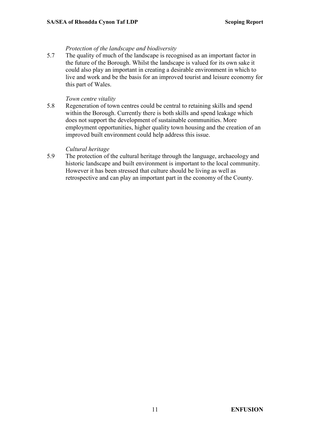#### Protection of the landscape and biodiversity

5.7 The quality of much of the landscape is recognised as an important factor in the future of the Borough. Whilst the landscape is valued for its own sake it could also play an important in creating a desirable environment in which to live and work and be the basis for an improved tourist and leisure economy for this part of Wales.

#### Town centre vitality

5.8 Regeneration of town centres could be central to retaining skills and spend within the Borough. Currently there is both skills and spend leakage which does not support the development of sustainable communities. More employment opportunities, higher quality town housing and the creation of an improved built environment could help address this issue.

#### Cultural heritage

5.9 The protection of the cultural heritage through the language, archaeology and historic landscape and built environment is important to the local community. However it has been stressed that culture should be living as well as retrospective and can play an important part in the economy of the County.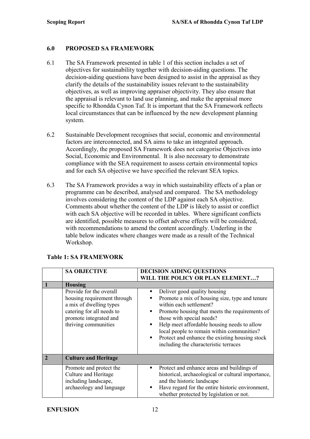#### 6.0 PROPOSED SA FRAMEWORK

- 6.1 The SA Framework presented in table 1 of this section includes a set of objectives for sustainability together with decision-aiding questions. The decision-aiding questions have been designed to assist in the appraisal as they clarify the details of the sustainability issues relevant to the sustainability objectives, as well as improving appraiser objectivity. They also ensure that the appraisal is relevant to land use planning, and make the appraisal more specific to Rhondda Cynon Taf. It is important that the SA Framework reflects local circumstances that can be influenced by the new development planning system.
- 6.2 Sustainable Development recognises that social, economic and environmental factors are interconnected, and SA aims to take an integrated approach. Accordingly, the proposed SA Framework does not categorise Objectives into Social, Economic and Environmental. It is also necessary to demonstrate compliance with the SEA requirement to assess certain environmental topics and for each SA objective we have specified the relevant SEA topics.
- 6.3 The SA Framework provides a way in which sustainability effects of a plan or programme can be described, analysed and compared. The SA methodology involves considering the content of the LDP against each SA objective. Comments about whether the content of the LDP is likely to assist or conflict with each SA objective will be recorded in tables. Where significant conflicts are identified, possible measures to offset adverse effects will be considered, with recommendations to amend the content accordingly. Underling in the table below indicates where changes were made as a result of the Technical Workshop.

| <b>SA OBJECTIVE</b>                                                                                                                                              | <b>DECISION AIDING QUESTIONS</b>                                                                                                                                                                                                                                                                                                                                                 |
|------------------------------------------------------------------------------------------------------------------------------------------------------------------|----------------------------------------------------------------------------------------------------------------------------------------------------------------------------------------------------------------------------------------------------------------------------------------------------------------------------------------------------------------------------------|
|                                                                                                                                                                  | WILL THE POLICY OR PLAN ELEMENT?                                                                                                                                                                                                                                                                                                                                                 |
| <b>Housing</b>                                                                                                                                                   |                                                                                                                                                                                                                                                                                                                                                                                  |
| Provide for the overall<br>housing requirement through<br>a mix of dwelling types<br>catering for all needs to<br>promote integrated and<br>thriving communities | Deliver good quality housing<br>Promote a mix of housing size, type and tenure<br>within each settlement?<br>Promote housing that meets the requirements of<br>those with special needs?<br>Help meet affordable housing needs to allow<br>local people to remain within communities?<br>Protect and enhance the existing housing stock<br>including the characteristic terraces |
| <b>Culture and Heritage</b>                                                                                                                                      |                                                                                                                                                                                                                                                                                                                                                                                  |
| Promote and protect the<br>Culture and Heritage<br>including landscape,<br>archaeology and language                                                              | Protect and enhance areas and buildings of<br>historical, archaeological or cultural importance,<br>and the historic landscape<br>Have regard for the entire historic environment,<br>whether protected by legislation or not.                                                                                                                                                   |

#### Table 1: SA FRAMEWORK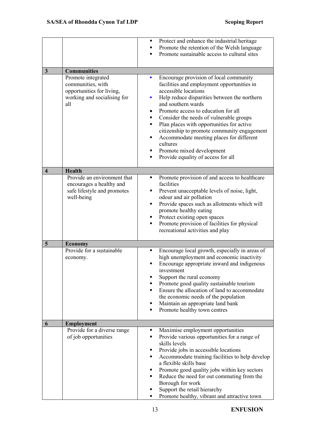|                         |                                                                                                            | Protect and enhance the industrial heritage<br>Promote the retention of the Welsh language<br>п<br>Promote sustainable access to cultural sites<br>п                                                                                                                                                                                                                                                                                                                                                                                |
|-------------------------|------------------------------------------------------------------------------------------------------------|-------------------------------------------------------------------------------------------------------------------------------------------------------------------------------------------------------------------------------------------------------------------------------------------------------------------------------------------------------------------------------------------------------------------------------------------------------------------------------------------------------------------------------------|
| $\mathbf{3}$            | <b>Communities</b>                                                                                         |                                                                                                                                                                                                                                                                                                                                                                                                                                                                                                                                     |
|                         | Promote integrated<br>communities, with<br>opportunities for living,<br>working and socialising for<br>all | Encourage provision of local community<br>ш<br>facilities and employment opportunities in<br>accessible locations<br>Help reduce disparities between the northern<br>×<br>and southern wards<br>Promote access to education for all<br>٠<br>Consider the needs of vulnerable groups<br>٠<br>Plan places with opportunities for active<br>٠<br>citizenship to promote community engagement<br>Accommodate meeting places for different<br>٠<br>cultures<br>Promote mixed development<br>٠<br>Provide equality of access for all<br>٠ |
| $\overline{\mathbf{4}}$ | <b>Health</b>                                                                                              |                                                                                                                                                                                                                                                                                                                                                                                                                                                                                                                                     |
|                         | Provide an environment that<br>encourages a healthy and<br>safe lifestyle and promotes<br>well-being       | Promote provision of and access to healthcare<br>٠<br>facilities<br>Prevent unacceptable levels of noise, light,<br>٠<br>odour and air pollution<br>Provide spaces such as allotments which will<br>٠<br>promote healthy eating<br>Protect existing open spaces<br>٠<br>Promote provision of facilities for physical<br>٠<br>recreational activities and play                                                                                                                                                                       |
| $\overline{5}$          | <b>Economy</b>                                                                                             |                                                                                                                                                                                                                                                                                                                                                                                                                                                                                                                                     |
|                         | Provide for a sustainable<br>economy.                                                                      | Encourage local growth, especially in areas of<br>$\blacksquare$<br>high unemployment and economic inactivity<br>Encourage appropriate inward and indigenous<br>investment<br>Support the rural economy<br>п<br>Promote good quality sustainable tourism<br>٠<br>Ensure the allocation of land to accommodate<br>п<br>the economic needs of the population<br>Maintain an appropriate land bank<br>п<br>Promote healthy town centres<br>٠                                                                                           |
| 6                       | <b>Employment</b>                                                                                          |                                                                                                                                                                                                                                                                                                                                                                                                                                                                                                                                     |
|                         | Provide for a diverse range<br>of job opportunities                                                        | Maximise employment opportunities<br>٠<br>Provide various opportunities for a range of<br>٠<br>skills levels<br>Provide jobs in accessible locations<br>٠<br>Accommodate training facilities to help develop<br>٠<br>a flexible skills base<br>Promote good quality jobs within key sectors<br>٠<br>Reduce the need for out commuting from the<br>٠<br>Borough for work<br>Support the retail hierarchy<br>٠<br>Promote healthy, vibrant and attractive town<br>٠                                                                   |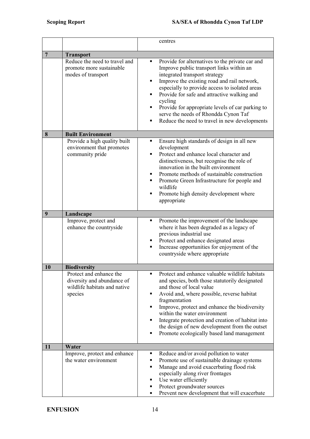|                |                                                                                                  | centres                                                                                                                                                                                                                                                                                                                                                                                                                                                                    |
|----------------|--------------------------------------------------------------------------------------------------|----------------------------------------------------------------------------------------------------------------------------------------------------------------------------------------------------------------------------------------------------------------------------------------------------------------------------------------------------------------------------------------------------------------------------------------------------------------------------|
| $\overline{7}$ | <b>Transport</b>                                                                                 |                                                                                                                                                                                                                                                                                                                                                                                                                                                                            |
|                | Reduce the need to travel and<br>promote more sustainable<br>modes of transport                  | Provide for alternatives to the private car and<br>٠<br>Improve public transport links within an<br>integrated transport strategy<br>Improve the existing road and rail network,<br>$\blacksquare$<br>especially to provide access to isolated areas<br>Provide for safe and attractive walking and<br>٠<br>cycling<br>Provide for appropriate levels of car parking to<br>٠<br>serve the needs of Rhondda Cynon Taf<br>Reduce the need to travel in new developments<br>٠ |
| 8              | <b>Built Environment</b>                                                                         |                                                                                                                                                                                                                                                                                                                                                                                                                                                                            |
|                | Provide a high quality built<br>environment that promotes<br>community pride                     | Ensure high standards of design in all new<br>٠<br>development<br>Protect and enhance local character and<br>distinctiveness, but recognise the role of<br>innovation in the built environment<br>Promote methods of sustainable construction<br>п<br>Promote Green Infrastructure for people and<br>٠<br>wildlife<br>Promote high density development where<br>٠<br>appropriate                                                                                           |
| 9              | Landscape                                                                                        |                                                                                                                                                                                                                                                                                                                                                                                                                                                                            |
|                | Improve, protect and<br>enhance the countryside                                                  | Promote the improvement of the landscape<br>٠<br>where it has been degraded as a legacy of<br>previous industrial use<br>Protect and enhance designated areas<br>٠<br>Increase opportunities for enjoyment of the<br>٠<br>countryside where appropriate                                                                                                                                                                                                                    |
| 10             | <b>Biodiversity</b>                                                                              |                                                                                                                                                                                                                                                                                                                                                                                                                                                                            |
|                | Protect and enhance the<br>diversity and abundance of<br>wildlife habitats and native<br>species | Protect and enhance valuable wildlife habitats<br>п<br>and species, both those statutorily designated<br>and those of local value<br>Avoid and, where possible, reverse habitat<br>П<br>fragmentation<br>Improve, protect and enhance the biodiversity<br>٠<br>within the water environment<br>Integrate protection and creation of habitat into<br>$\blacksquare$<br>the design of new development from the outset<br>Promote ecologically based land management<br>п     |
| 11             | Water                                                                                            |                                                                                                                                                                                                                                                                                                                                                                                                                                                                            |
|                | Improve, protect and enhance<br>the water environment                                            | Reduce and/or avoid pollution to water<br>٠<br>Promote use of sustainable drainage systems<br>٠<br>Manage and avoid exacerbating flood risk<br>$\blacksquare$<br>especially along river frontages<br>Use water efficiently<br>٠<br>Protect groundwater sources<br>٠<br>Prevent new development that will exacerbate<br>٠                                                                                                                                                   |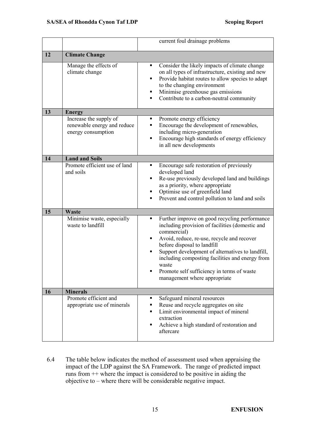|    |                                                                             | current foul drainage problems                                                                                                                                                                                                                                                                                                                                                                       |
|----|-----------------------------------------------------------------------------|------------------------------------------------------------------------------------------------------------------------------------------------------------------------------------------------------------------------------------------------------------------------------------------------------------------------------------------------------------------------------------------------------|
| 12 | <b>Climate Change</b>                                                       |                                                                                                                                                                                                                                                                                                                                                                                                      |
|    | Manage the effects of<br>climate change                                     | Consider the likely impacts of climate change<br>٠<br>on all types of infrastructure, existing and new<br>Provide habitat routes to allow species to adapt<br>$\blacksquare$<br>to the changing environment<br>Minimise greenhouse gas emissions<br>Contribute to a carbon-neutral community<br>٠                                                                                                    |
| 13 | <b>Energy</b>                                                               |                                                                                                                                                                                                                                                                                                                                                                                                      |
|    | Increase the supply of<br>renewable energy and reduce<br>energy consumption | Promote energy efficiency<br>٠<br>Encourage the development of renewables,<br>including micro-generation<br>Encourage high standards of energy efficiency<br>٠<br>in all new developments                                                                                                                                                                                                            |
| 14 | <b>Land and Soils</b>                                                       |                                                                                                                                                                                                                                                                                                                                                                                                      |
|    | Promote efficient use of land<br>and soils                                  | Encourage safe restoration of previously<br>٠<br>developed land<br>Re-use previously developed land and buildings<br>٠<br>as a priority, where appropriate<br>Optimise use of greenfield land<br>Prevent and control pollution to land and soils<br>٠                                                                                                                                                |
| 15 | <b>Waste</b>                                                                |                                                                                                                                                                                                                                                                                                                                                                                                      |
|    | Minimise waste, especially<br>waste to landfill                             | Further improve on good recycling performance<br>٠<br>including provision of facilities (domestic and<br>commercial)<br>Avoid, reduce, re-use, recycle and recover<br>٠<br>before disposal to landfill<br>Support development of alternatives to landfill,<br>including composting facilities and energy from<br>waste<br>Promote self sufficiency in terms of waste<br>management where appropriate |
| 16 | <b>Minerals</b>                                                             |                                                                                                                                                                                                                                                                                                                                                                                                      |
|    | Promote efficient and<br>appropriate use of minerals                        | Safeguard mineral resources<br>٠<br>Reuse and recycle aggregates on site<br>Limit environmental impact of mineral<br>extraction<br>Achieve a high standard of restoration and<br>п<br>aftercare                                                                                                                                                                                                      |

6.4 The table below indicates the method of assessment used when appraising the impact of the LDP against the SA Framework. The range of predicted impact runs from ++ where the impact is considered to be positive in aiding the objective to – where there will be considerable negative impact.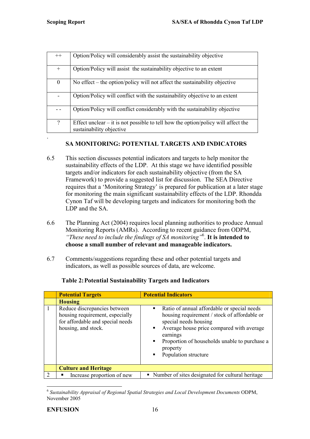| $++$                     | Option/Policy will considerably assist the sustainability objective                                             |
|--------------------------|-----------------------------------------------------------------------------------------------------------------|
| $^{+}$                   | Option/Policy will assist the sustainability objective to an extent                                             |
| $\boldsymbol{0}$         | No effect $-$ the option/policy will not affect the sustainability objective                                    |
|                          | Option/Policy will conflict with the sustainability objective to an extent                                      |
|                          | Option/Policy will conflict considerably with the sustainability objective                                      |
| $\overline{\mathcal{L}}$ | Effect unclear $-$ it is not possible to tell how the option/policy will affect the<br>sustainability objective |
|                          |                                                                                                                 |

# SA MONITORING: POTENTIAL TARGETS AND INDICATORS

- 6.5 This section discusses potential indicators and targets to help monitor the sustainability effects of the LDP. At this stage we have identified possible targets and/or indicators for each sustainability objective (from the SA Framework) to provide a suggested list for discussion. The SEA Directive requires that a 'Monitoring Strategy' is prepared for publication at a later stage for monitoring the main significant sustainability effects of the LDP. Rhondda Cynon Taf will be developing targets and indicators for monitoring both the LDP and the SA.
- 6.6 The Planning Act (2004) requires local planning authorities to produce Annual Monitoring Reports (AMRs). According to recent guidance from ODPM, "These need to include the findings of SA monitoring"<sup>6</sup>. It is intended to choose a small number of relevant and manageable indicators.
- 6.7 Comments/suggestions regarding these and other potential targets and indicators, as well as possible sources of data, are welcome.

|               | <b>Potential Targets</b>                                                                                                   | <b>Potential Indicators</b>                                                                                                                                                                                                                                                       |
|---------------|----------------------------------------------------------------------------------------------------------------------------|-----------------------------------------------------------------------------------------------------------------------------------------------------------------------------------------------------------------------------------------------------------------------------------|
|               | <b>Housing</b>                                                                                                             |                                                                                                                                                                                                                                                                                   |
|               | Reduce discrepancies between<br>housing requirement, especially<br>for affordable and special needs<br>housing, and stock. | Ratio of annual affordable or special needs<br>٠<br>housing requirement / stock of affordable or<br>special needs housing<br>Average house price compared with average<br>٠<br>earnings<br>Proportion of households unable to purchase a<br>٠<br>property<br>Population structure |
|               | <b>Culture and Heritage</b>                                                                                                |                                                                                                                                                                                                                                                                                   |
| $\mathcal{D}$ | Increase proportion of new                                                                                                 | • Number of sites designated for cultural heritage                                                                                                                                                                                                                                |

## Table 2: Potential Sustainability Targets and Indicators

 $\overline{a}$  $^6$  Sustainability Appraisal of Regional Spatial Strategies and Local Development Documents ODPM, November 2005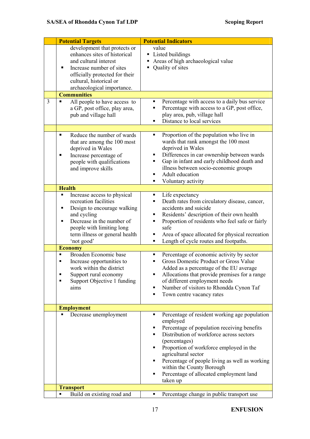|   | <b>Potential Targets</b>                                                                                                                                                                                                                                                                                                                                                                                                                      | <b>Potential Indicators</b>                                                                                                                                                                                                                                                                                                                                                                                                                                                                                                                                                                                                             |
|---|-----------------------------------------------------------------------------------------------------------------------------------------------------------------------------------------------------------------------------------------------------------------------------------------------------------------------------------------------------------------------------------------------------------------------------------------------|-----------------------------------------------------------------------------------------------------------------------------------------------------------------------------------------------------------------------------------------------------------------------------------------------------------------------------------------------------------------------------------------------------------------------------------------------------------------------------------------------------------------------------------------------------------------------------------------------------------------------------------------|
|   | development that protects or<br>enhances sites of historical<br>and cultural interest<br>Increase number of sites<br>п<br>officially protected for their<br>cultural, historical or<br>archaeological importance.                                                                                                                                                                                                                             | value<br>• Listed buildings<br>Areas of high archaeological value<br>Quality of sites                                                                                                                                                                                                                                                                                                                                                                                                                                                                                                                                                   |
|   | <b>Communities</b>                                                                                                                                                                                                                                                                                                                                                                                                                            |                                                                                                                                                                                                                                                                                                                                                                                                                                                                                                                                                                                                                                         |
| 3 | All people to have access to<br>a GP, post office, play area,<br>pub and village hall                                                                                                                                                                                                                                                                                                                                                         | Percentage with access to a daily bus service<br>٠<br>Percentage with access to a GP, post office,<br>play area, pub, village hall<br>Distance to local services<br>٠                                                                                                                                                                                                                                                                                                                                                                                                                                                                   |
|   | Reduce the number of wards<br>٠<br>that are among the 100 most<br>deprived in Wales<br>Increase percentage of<br>п<br>people with qualifications<br>and improve skills                                                                                                                                                                                                                                                                        | Proportion of the population who live in<br>٠<br>wards that rank amongst the 100 most<br>deprived in Wales<br>Differences in car ownership between wards<br>٠<br>Gap in infant and early childhood death and<br>٠<br>illness between socio-economic groups<br>Adult education<br>٠<br>Voluntary activity<br>п                                                                                                                                                                                                                                                                                                                           |
|   | <b>Health</b>                                                                                                                                                                                                                                                                                                                                                                                                                                 |                                                                                                                                                                                                                                                                                                                                                                                                                                                                                                                                                                                                                                         |
|   | Increase access to physical<br>٠<br>recreation facilities<br>Design to encourage walking<br>٠<br>and cycling<br>Decrease in the number of<br>Е<br>people with limiting long<br>term illness or general health<br>'not good'<br><b>Economy</b><br>Broaden Economic base<br>$\blacksquare$<br>Increase opportunities to<br>$\blacksquare$<br>work within the district<br>Support rural economy<br>٠<br>Support Objective 1 funding<br>■<br>aims | Life expectancy<br>٠,<br>Death rates from circulatory disease, cancer,<br>٠<br>accidents and suicide<br>Residents' description of their own health<br>٠<br>Proportion of residents who feel safe or fairly<br>safe<br>Area of space allocated for physical recreation<br>٠<br>Length of cycle routes and footpaths.<br>٠<br>Percentage of economic activity by sector<br>٠<br>Gross Domestic Product or Gross Value<br>Added as a percentage of the EU average<br>Allocations that provide premises for a range<br>٠<br>of different employment needs<br>Number of visitors to Rhondda Cynon Taf<br>٠<br>Town centre vacancy rates<br>٠ |
|   | <b>Employment</b>                                                                                                                                                                                                                                                                                                                                                                                                                             |                                                                                                                                                                                                                                                                                                                                                                                                                                                                                                                                                                                                                                         |
|   | Decrease unemployment                                                                                                                                                                                                                                                                                                                                                                                                                         | Percentage of resident working age population<br>п<br>employed<br>Percentage of population receiving benefits<br>٠<br>Distribution of workforce across sectors<br>٠<br>(percentages)<br>Proportion of workforce employed in the<br>agricultural sector<br>Percentage of people living as well as working<br>٠<br>within the County Borough<br>Percentage of allocated employment land<br>٠<br>taken up                                                                                                                                                                                                                                  |
|   | <b>Transport</b>                                                                                                                                                                                                                                                                                                                                                                                                                              |                                                                                                                                                                                                                                                                                                                                                                                                                                                                                                                                                                                                                                         |
|   | Build on existing road and<br>Ξ                                                                                                                                                                                                                                                                                                                                                                                                               | Percentage change in public transport use<br>٠                                                                                                                                                                                                                                                                                                                                                                                                                                                                                                                                                                                          |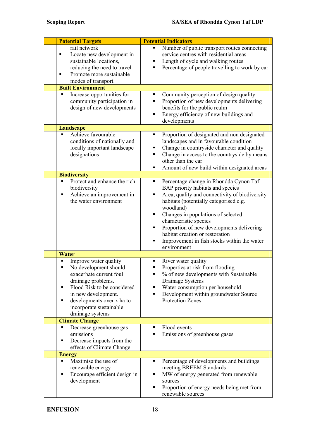| <b>Potential Targets</b>                                                                                                                                                                                                                                 | <b>Potential Indicators</b>                                                                                                                                                                                                                                                                                                                                                                                                              |
|----------------------------------------------------------------------------------------------------------------------------------------------------------------------------------------------------------------------------------------------------------|------------------------------------------------------------------------------------------------------------------------------------------------------------------------------------------------------------------------------------------------------------------------------------------------------------------------------------------------------------------------------------------------------------------------------------------|
| rail network<br>Locate new development in<br>٠<br>sustainable locations,<br>reducing the need to travel<br>Promote more sustainable<br>٠<br>modes of transport.                                                                                          | Number of public transport routes connecting<br>service centres with residential areas<br>Length of cycle and walking routes<br>٠<br>Percentage of people travelling to work by car<br>٠                                                                                                                                                                                                                                                 |
| <b>Built Environment</b>                                                                                                                                                                                                                                 |                                                                                                                                                                                                                                                                                                                                                                                                                                          |
| Increase opportunities for<br>Ξ<br>community participation in<br>design of new developments                                                                                                                                                              | Community perception of design quality<br>٠<br>Proportion of new developments delivering<br>benefits for the public realm<br>Energy efficiency of new buildings and<br>Ξ<br>developments                                                                                                                                                                                                                                                 |
| <b>Landscape</b>                                                                                                                                                                                                                                         |                                                                                                                                                                                                                                                                                                                                                                                                                                          |
| Achieve favourable<br>$\blacksquare$<br>conditions of nationally and<br>locally important landscape<br>designations                                                                                                                                      | Proportion of designated and non designated<br>٠<br>landscapes and in favourable condition<br>Change in countryside character and quality<br>٠<br>Change in access to the countryside by means<br>$\blacksquare$<br>other than the car<br>Amount of new build within designated areas<br>$\blacksquare$                                                                                                                                  |
| <b>Biodiversity</b>                                                                                                                                                                                                                                      |                                                                                                                                                                                                                                                                                                                                                                                                                                          |
| Protect and enhance the rich<br>Ξ<br>biodiversity<br>Achieve an improvement in<br>$\blacksquare$<br>the water environment                                                                                                                                | Percentage change in Rhondda Cynon Taf<br>$\blacksquare$<br>BAP priority habitats and species<br>Area, quality and connectivity of biodiversity<br>٠<br>habitats (potentially categorised e.g.<br>woodland)<br>Changes in populations of selected<br>٠<br>characteristic species<br>Proportion of new developments delivering<br>٠<br>habitat creation or restoration<br>Improvement in fish stocks within the water<br>٠<br>environment |
| Water                                                                                                                                                                                                                                                    |                                                                                                                                                                                                                                                                                                                                                                                                                                          |
| Improve water quality<br>No development should<br>exacerbate current foul<br>drainage problems.<br>Flood Risk to be considered<br>$\blacksquare$<br>in new development.<br>developments over x ha to<br>Ξ<br>incorporate sustainable<br>drainage systems | River water quality<br>Properties at risk from flooding<br>% of new developments with Sustainable<br>Drainage Systems<br>Water consumption per household<br>٠<br>Development within groundwater Source<br>٠<br><b>Protection Zones</b>                                                                                                                                                                                                   |
| <b>Climate Change</b>                                                                                                                                                                                                                                    |                                                                                                                                                                                                                                                                                                                                                                                                                                          |
| Decrease greenhouse gas<br>٠<br>emissions<br>Decrease impacts from the<br>٠<br>effects of Climate Change                                                                                                                                                 | Flood events<br>٠<br>Emissions of greenhouse gases<br>$\blacksquare$                                                                                                                                                                                                                                                                                                                                                                     |
| <b>Energy</b><br>Maximise the use of<br>Е                                                                                                                                                                                                                | Percentage of developments and buildings<br>٠                                                                                                                                                                                                                                                                                                                                                                                            |
| renewable energy<br>Encourage efficient design in<br>Ξ<br>development                                                                                                                                                                                    | meeting BREEM Standards<br>MW of energy generated from renewable<br>٠<br>sources<br>Proportion of energy needs being met from<br>٠<br>renewable sources                                                                                                                                                                                                                                                                                  |